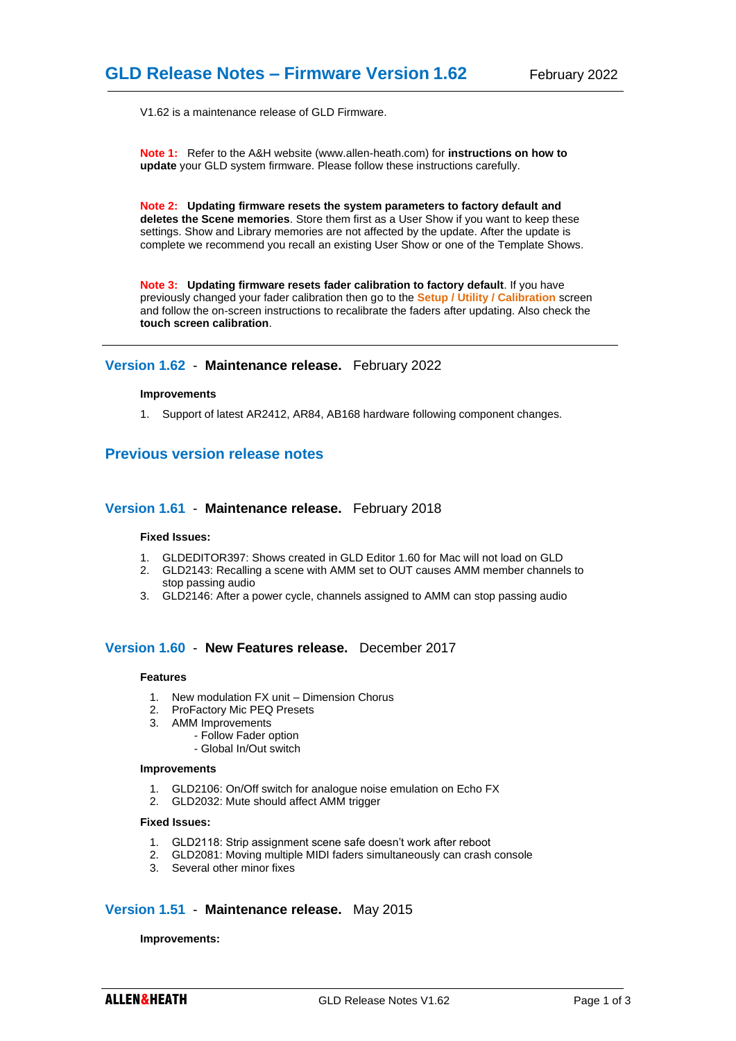V1.62 is a maintenance release of GLD Firmware.

**Note 1:** Refer to the A&H website (www.allen-heath.com) for **instructions on how to update** your GLD system firmware. Please follow these instructions carefully.

**Note 2: Updating firmware resets the system parameters to factory default and deletes the Scene memories**. Store them first as a User Show if you want to keep these settings. Show and Library memories are not affected by the update. After the update is complete we recommend you recall an existing User Show or one of the Template Shows.

**Note 3: Updating firmware resets fader calibration to factory default**. If you have previously changed your fader calibration then go to the **Setup / Utility / Calibration** screen and follow the on-screen instructions to recalibrate the faders after updating. Also check the **touch screen calibration**.

# **Version 1.62** - **Maintenance release.** February 2022

#### **Improvements**

1. Support of latest AR2412, AR84, AB168 hardware following component changes.

# **Previous version release notes**

### **Version 1.61** - **Maintenance release.** February 2018

### **Fixed Issues:**

- 1. GLDEDITOR397: Shows created in GLD Editor 1.60 for Mac will not load on GLD
- 2. GLD2143: Recalling a scene with AMM set to OUT causes AMM member channels to stop passing audio
- 3. GLD2146: After a power cycle, channels assigned to AMM can stop passing audio

# **Version 1.60** - **New Features release.** December 2017

### **Features**

- 1. New modulation FX unit Dimension Chorus
- 2. ProFactory Mic PEQ Presets
- 3. AMM Improvements
	- Follow Fader option
	- Global In/Out switch

### **Improvements**

- 1. GLD2106: On/Off switch for analogue noise emulation on Echo FX
- 2. GLD2032: Mute should affect AMM trigger

### **Fixed Issues:**

- 1. GLD2118: Strip assignment scene safe doesn't work after reboot
- 2. GLD2081: Moving multiple MIDI faders simultaneously can crash console
- 3. Several other minor fixes

# **Version 1.51** - **Maintenance release.** May 2015

#### **Improvements:**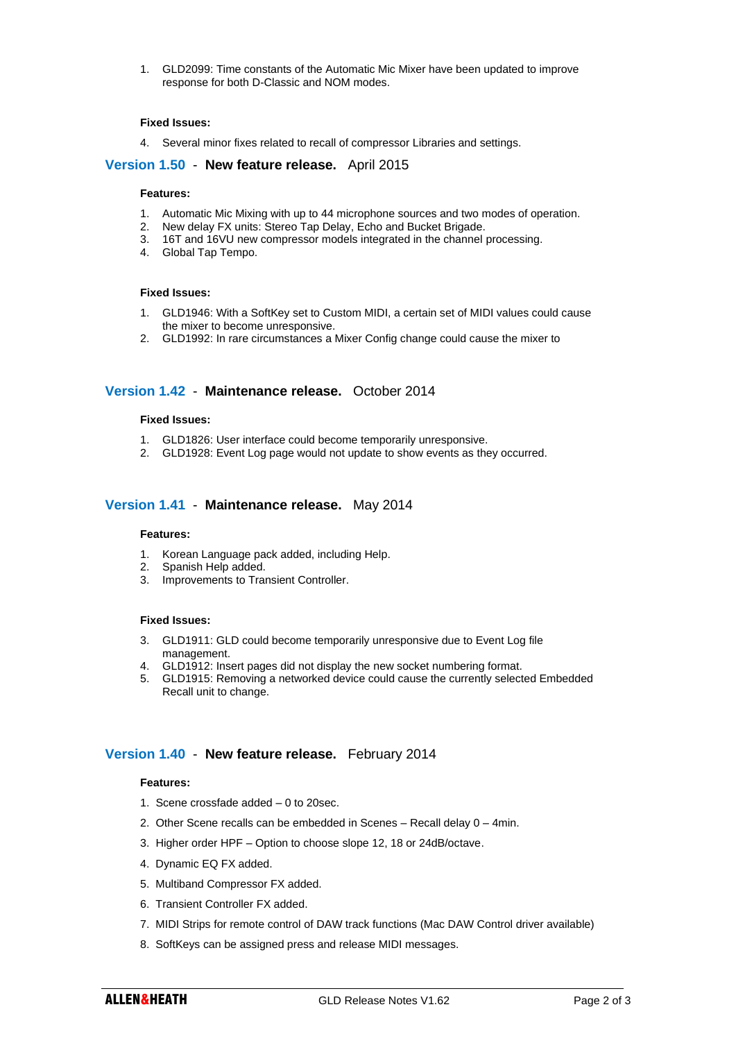1. GLD2099: Time constants of the Automatic Mic Mixer have been updated to improve response for both D-Classic and NOM modes.

### **Fixed Issues:**

4. Several minor fixes related to recall of compressor Libraries and settings.

# **Version 1.50** - **New feature release.** April 2015

### **Features:**

- 1. Automatic Mic Mixing with up to 44 microphone sources and two modes of operation.
- 2. New delay FX units: Stereo Tap Delay, Echo and Bucket Brigade.
- 3. 16T and 16VU new compressor models integrated in the channel processing.
- 4. Global Tap Tempo.

### **Fixed Issues:**

- 1. GLD1946: With a SoftKey set to Custom MIDI, a certain set of MIDI values could cause the mixer to become unresponsive.
- 2. GLD1992: In rare circumstances a Mixer Config change could cause the mixer to

# **Version 1.42** - **Maintenance release.** October 2014

### **Fixed Issues:**

- 1. GLD1826: User interface could become temporarily unresponsive.
- 2. GLD1928: Event Log page would not update to show events as they occurred.

# **Version 1.41** - **Maintenance release.** May 2014

#### **Features:**

- 1. Korean Language pack added, including Help.
- 2. Spanish Help added.
- 3. Improvements to Transient Controller.

### **Fixed Issues:**

- 3. GLD1911: GLD could become temporarily unresponsive due to Event Log file management.
- 4. GLD1912: Insert pages did not display the new socket numbering format.
- 5. GLD1915: Removing a networked device could cause the currently selected Embedded Recall unit to change.

# **Version 1.40** - **New feature release.** February 2014

#### **Features:**

- 1. Scene crossfade added 0 to 20sec.
- 2. Other Scene recalls can be embedded in Scenes Recall delay 0 4min.
- 3. Higher order HPF Option to choose slope 12, 18 or 24dB/octave.
- 4. Dynamic EQ FX added.
- 5. Multiband Compressor FX added.
- 6. Transient Controller FX added.
- 7. MIDI Strips for remote control of DAW track functions (Mac DAW Control driver available)
- 8. SoftKeys can be assigned press and release MIDI messages.